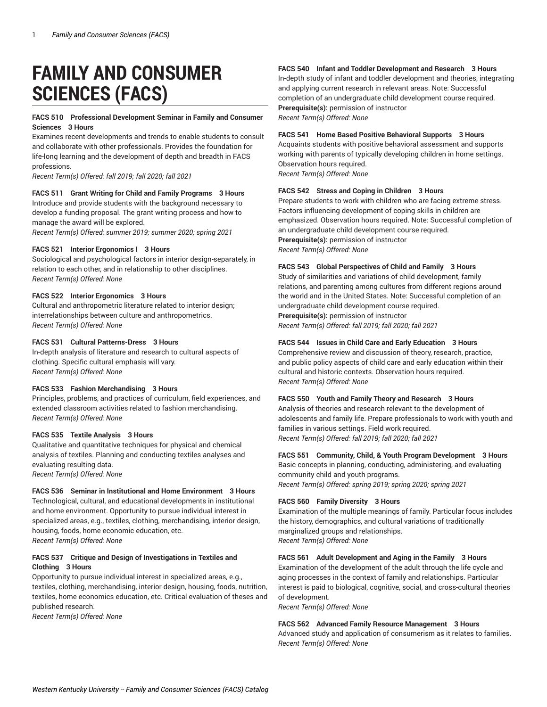# **FAMILY AND CONSUMER SCIENCES (FACS)**

# **FACS 510 Professional Development Seminar in Family and Consumer Sciences 3 Hours**

Examines recent developments and trends to enable students to consult and collaborate with other professionals. Provides the foundation for life-long learning and the development of depth and breadth in FACS professions.

*Recent Term(s) Offered: fall 2019; fall 2020; fall 2021*

# **FACS 511 Grant Writing for Child and Family Programs 3 Hours**

Introduce and provide students with the background necessary to develop a funding proposal. The grant writing process and how to manage the award will be explored.

*Recent Term(s) Offered: summer 2019; summer 2020; spring 2021*

## **FACS 521 Interior Ergonomics I 3 Hours**

Sociological and psychological factors in interior design-separately, in relation to each other, and in relationship to other disciplines. *Recent Term(s) Offered: None*

# **FACS 522 Interior Ergonomics 3 Hours**

Cultural and anthropometric literature related to interior design; interrelationships between culture and anthropometrics. *Recent Term(s) Offered: None*

# **FACS 531 Cultural Patterns-Dress 3 Hours**

In-depth analysis of literature and research to cultural aspects of clothing. Specific cultural emphasis will vary. *Recent Term(s) Offered: None*

## **FACS 533 Fashion Merchandising 3 Hours**

Principles, problems, and practices of curriculum, field experiences, and extended classroom activities related to fashion merchandising. *Recent Term(s) Offered: None*

## **FACS 535 Textile Analysis 3 Hours**

Qualitative and quantitative techniques for physical and chemical analysis of textiles. Planning and conducting textiles analyses and evaluating resulting data.

*Recent Term(s) Offered: None*

# **FACS 536 Seminar in Institutional and Home Environment 3 Hours**

Technological, cultural, and educational developments in institutional and home environment. Opportunity to pursue individual interest in specialized areas, e.g., textiles, clothing, merchandising, interior design, housing, foods, home economic education, etc. *Recent Term(s) Offered: None*

# **FACS 537 Critique and Design of Investigations in Textiles and Clothing 3 Hours**

Opportunity to pursue individual interest in specialized areas, e.g., textiles, clothing, merchandising, interior design, housing, foods, nutrition, textiles, home economics education, etc. Critical evaluation of theses and published research.

*Recent Term(s) Offered: None*

# **FACS 540 Infant and Toddler Development and Research 3 Hours**

In-depth study of infant and toddler development and theories, integrating and applying current research in relevant areas. Note: Successful completion of an undergraduate child development course required. **Prerequisite(s):** permission of instructor *Recent Term(s) Offered: None*

**FACS 541 Home Based Positive Behavioral Supports 3 Hours**

Acquaints students with positive behavioral assessment and supports working with parents of typically developing children in home settings. Observation hours required.

*Recent Term(s) Offered: None*

# **FACS 542 Stress and Coping in Children 3 Hours**

Prepare students to work with children who are facing extreme stress. Factors influencing development of coping skills in children are emphasized. Observation hours required. Note: Successful completion of an undergraduate child development course required. **Prerequisite(s):** permission of instructor *Recent Term(s) Offered: None*

# **FACS 543 Global Perspectives of Child and Family 3 Hours**

Study of similarities and variations of child development, family relations, and parenting among cultures from different regions around the world and in the United States. Note: Successful completion of an undergraduate child development course required. **Prerequisite(s):** permission of instructor

*Recent Term(s) Offered: fall 2019; fall 2020; fall 2021*

# **FACS 544 Issues in Child Care and Early Education 3 Hours**

Comprehensive review and discussion of theory, research, practice, and public policy aspects of child care and early education within their cultural and historic contexts. Observation hours required. *Recent Term(s) Offered: None*

## **FACS 550 Youth and Family Theory and Research 3 Hours**

Analysis of theories and research relevant to the development of adolescents and family life. Prepare professionals to work with youth and families in various settings. Field work required. *Recent Term(s) Offered: fall 2019; fall 2020; fall 2021*

**FACS 551 Community, Child, & Youth Program Development 3 Hours** Basic concepts in planning, conducting, administering, and evaluating community child and youth programs.

*Recent Term(s) Offered: spring 2019; spring 2020; spring 2021*

## **FACS 560 Family Diversity 3 Hours**

Examination of the multiple meanings of family. Particular focus includes the history, demographics, and cultural variations of traditionally marginalized groups and relationships. *Recent Term(s) Offered: None*

# **FACS 561 Adult Development and Aging in the Family 3 Hours**

Examination of the development of the adult through the life cycle and aging processes in the context of family and relationships. Particular interest is paid to biological, cognitive, social, and cross-cultural theories of development.

*Recent Term(s) Offered: None*

## **FACS 562 Advanced Family Resource Management 3 Hours**

Advanced study and application of consumerism as it relates to families. *Recent Term(s) Offered: None*